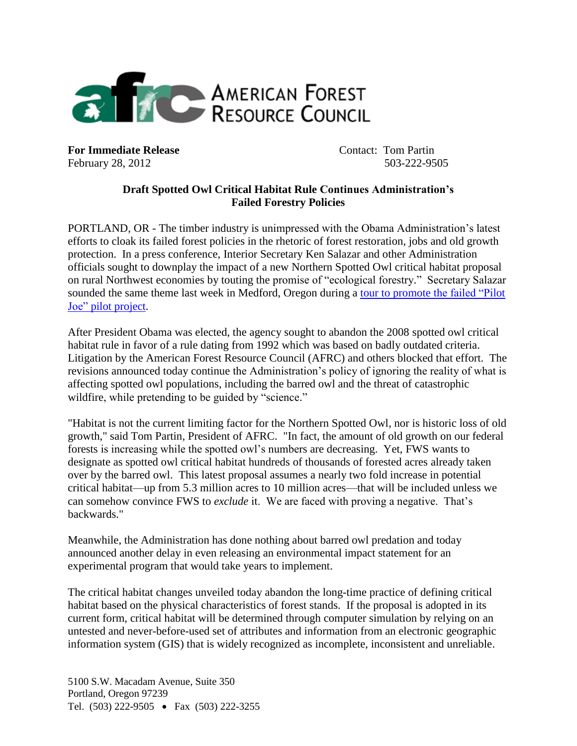

**For Immediate Release Contact: Tom Partin** February 28, 2012 503-222-9505

## **Draft Spotted Owl Critical Habitat Rule Continues Administration's Failed Forestry Policies**

PORTLAND, OR - The timber industry is unimpressed with the Obama Administration's latest efforts to cloak its failed forest policies in the rhetoric of forest restoration, jobs and old growth protection. In a press conference, Interior Secretary Ken Salazar and other Administration officials sought to downplay the impact of a new Northern Spotted Owl critical habitat proposal on rural Northwest economies by touting the promise of "ecological forestry." Secretary Salazar sounded the same theme last week in Medford, Oregon during a tour to promote [the failed "Pilot](http://www.amforest.org/images/pdfs/AFRC_Press_Release_on_salazar_announcement.02-21-121.pdf)  [Joe" pilot project.](http://www.amforest.org/images/pdfs/AFRC_Press_Release_on_salazar_announcement.02-21-121.pdf)

After President Obama was elected, the agency sought to abandon the 2008 spotted owl critical habitat rule in favor of a rule dating from 1992 which was based on badly outdated criteria. Litigation by the American Forest Resource Council (AFRC) and others blocked that effort. The revisions announced today continue the Administration's policy of ignoring the reality of what is affecting spotted owl populations, including the barred owl and the threat of catastrophic wildfire, while pretending to be guided by "science."

"Habitat is not the current limiting factor for the Northern Spotted Owl, nor is historic loss of old growth," said Tom Partin, President of AFRC. "In fact, the amount of old growth on our federal forests is increasing while the spotted owl's numbers are decreasing. Yet, FWS wants to designate as spotted owl critical habitat hundreds of thousands of forested acres already taken over by the barred owl. This latest proposal assumes a nearly two fold increase in potential critical habitat—up from 5.3 million acres to 10 million acres—that will be included unless we can somehow convince FWS to *exclude* it. We are faced with proving a negative. That's backwards."

Meanwhile, the Administration has done nothing about barred owl predation and today announced another delay in even releasing an environmental impact statement for an experimental program that would take years to implement.

The critical habitat changes unveiled today abandon the long-time practice of defining critical habitat based on the physical characteristics of forest stands. If the proposal is adopted in its current form, critical habitat will be determined through computer simulation by relying on an untested and never-before-used set of attributes and information from an electronic geographic information system (GIS) that is widely recognized as incomplete, inconsistent and unreliable.

5100 S.W. Macadam Avenue, Suite 350 Portland, Oregon 97239 Tel. (503) 222-9505 • Fax (503) 222-3255